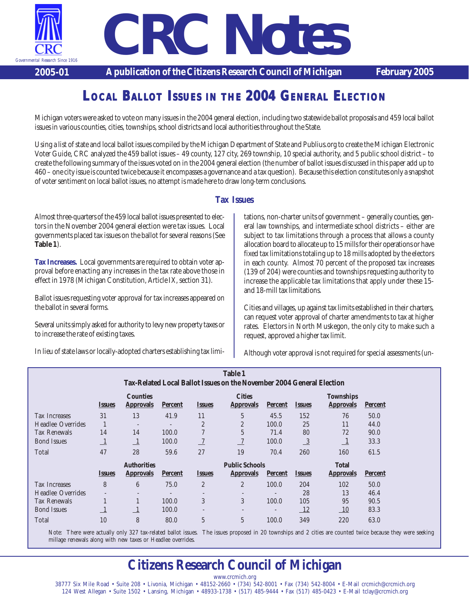

*CRC Notes*

**2005-01 A publication of the Citizens Research Council of Michigan February 2005**

## **LOCAL BALLOT ISSUES IN THE 2004 GENERAL ELECTION**

Michigan voters were asked to vote on many issues in the 2004 general election, including two statewide ballot proposals and 459 local ballot issues in various counties, cities, townships, school districts and local authorities throughout the State.

Using a list of state and local ballot issues compiled by the Michigan Department of State and Publius.org to create the Michigan Electronic Voter Guide, CRC analyzed the 459 ballot issues – 49 county, 127 city, 269 township, 10 special authority, and 5 public school district – to create the following summary of the issues voted on in the 2004 general election (the number of ballot issues discussed in this paper add up to 460 – one city issue is counted twice because it encompasses a governance and a tax question). Because this election constitutes only a snapshot of voter sentiment on local ballot issues, no attempt is made here to draw long-term conclusions.

#### **Tax Issues**

Almost three-quarters of the 459 local ballot issues presented to electors in the November 2004 general election were tax issues. Local governments placed tax issues on the ballot for several reasons (See **Table 1**).

**Tax Increases.** Local governments are required to obtain voter approval before enacting any increases in the tax rate above those in effect in 1978 (Michigan Constitution, Article IX, section 31).

Ballot issues requesting voter approval for tax increases appeared on the ballot in several forms.

Several units simply asked for authority to levy new property taxes or to increase the rate of existing taxes.

In lieu of state laws or locally-adopted charters establishing tax limi-

tations, non-charter units of government – generally counties, general law townships, and intermediate school districts – either are subject to tax limitations through a process that allows a county allocation board to allocate up to 15 mills for their operations or have fixed tax limitations totaling up to 18 mills adopted by the electors in each county. Almost 70 percent of the proposed tax increases (139 of 204) were counties and townships requesting authority to increase the applicable tax limitations that apply under these 15 and 18-mill tax limitations.

Cities and villages, up against tax limits established in their charters, can request voter approval of charter amendments to tax at higher rates. Electors in North Muskegon, the only city to make such a request, approved a higher tax limit.

Although voter approval is not required for special assessments (un-

| <b>Table 1</b>                                                        |                              |                                     |                              |                       |                                   |                          |                             |                                      |                |  |  |
|-----------------------------------------------------------------------|------------------------------|-------------------------------------|------------------------------|-----------------------|-----------------------------------|--------------------------|-----------------------------|--------------------------------------|----------------|--|--|
| Tax-Related Local Ballot Issues on the November 2004 General Election |                              |                                     |                              |                       |                                   |                          |                             |                                      |                |  |  |
|                                                                       | <i><b>Issues</b></i>         | <b>Counties</b><br><b>Approvals</b> | <b>Percent</b>               | <i><b>Issues</b></i>  | <b>Cities</b><br><b>Approvals</b> | <b>Percent</b>           | <i><b>Issues</b></i>        | <b>Townships</b><br><b>Approvals</b> | <b>Percent</b> |  |  |
| <b>Tax Increases</b>                                                  | 31                           | 13                                  | 41.9                         | 11                    | 5                                 | 45.5                     | 152                         | 76                                   | 50.0           |  |  |
| Headlee Overrides                                                     | п                            |                                     | $\overline{\phantom{0}}$     | $\overline{2}$        | $\overline{c}$                    | 100.0                    | 25                          | 11                                   | 44.0           |  |  |
| <b>Tax Renewals</b>                                                   | 14                           | 14                                  | 100.0                        | $\overline{7}$        | 5                                 | 71.4                     | 80                          | 72                                   | 90.0           |  |  |
| <b>Bond Issues</b>                                                    |                              |                                     | 100.0                        | $\overline{7}$        |                                   | 100.0                    | $\frac{3}{2}$               | -1                                   | 33.3           |  |  |
| Total                                                                 | 47                           | 28                                  | 59.6                         | 27                    | 19                                | 70.4                     | 260                         | 160                                  | 61.5           |  |  |
|                                                                       |                              | <b>Authorities</b>                  |                              | <b>Public Schools</b> |                                   |                          |                             | <b>Total</b>                         |                |  |  |
|                                                                       | <i><u><b>Issues</b></u></i>  | <b>Approvals</b>                    | <b>Percent</b>               | <i><b>Issues</b></i>  | <b>Approvals</b>                  | <b>Percent</b>           | <i><u><b>Issues</b></u></i> | <b>Approvals</b>                     | <b>Percent</b> |  |  |
| <b>Tax Increases</b>                                                  | 8                            | 6                                   | 75.0                         | $\overline{2}$        | $\overline{2}$                    | 100.0                    | 204                         | 102                                  | 50.0           |  |  |
| <b>Headlee Overrides</b>                                              | $\qquad \qquad \blacksquare$ | $\overline{\phantom{0}}$            | $\qquad \qquad \blacksquare$ | $\qquad \qquad =$     | $\overline{\phantom{a}}$          | $\overline{\phantom{a}}$ | 28                          | 13                                   | 46.4           |  |  |
| <b>Tax Renewals</b>                                                   |                              |                                     | 100.0                        | 3                     | 3                                 | 100.0                    | 105                         | 95                                   | 90.5           |  |  |
| <b>Bond Issues</b>                                                    |                              | $\perp$                             | 100.0                        | $\qquad \qquad =$     | $\overline{\phantom{a}}$          | $\qquad \qquad =$        | 12                          | 10                                   | 83.3           |  |  |
| Total                                                                 | 10                           | 8                                   | 80.0                         | $\overline{5}$        | 5                                 | 100.0                    | 349                         | 220                                  | 63.0           |  |  |

Note: There were actually only 327 tax-related ballot issues. The issues proposed in 20 townships and 2 cities are counted twice because they were seeking millage renewals along with new taxes or Headlee overrides.

# **Citizens Research Council of Michigan**

www.crcmich.org 38777 Six Mile Road • Suite 208 • Livonia, Michigan • 48152-2660 • (734) 542-8001 • Fax (734) 542-8004 • E-Mail crcmich@crcmich.org 124 West Allegan • Suite 1502 • Lansing, Michigan • 48933-1738 • (517) 485-9444 • Fax (517) 485-0423 • E-Mail tclay@crcmich.org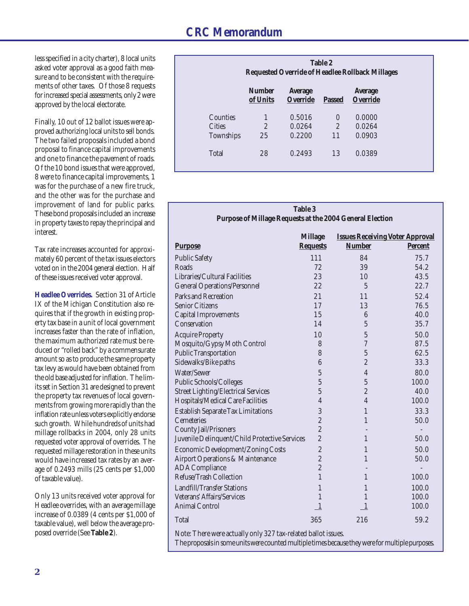less specified in a city charter), 8 local units asked voter approval as a good faith measure and to be consistent with the requirements of other taxes. Of those 8 requests for increased special assessments, only 2 were approved by the local electorate.

Finally, 10 out of 12 ballot issues were approved authorizing local units to sell bonds. The two failed proposals included a bond proposal to finance capital improvements and one to finance the pavement of roads. Of the 10 bond issues that were approved, 8 were to finance capital improvements, 1 was for the purchase of a new fire truck, and the other was for the purchase and improvement of land for public parks. These bond proposals included an increase in property taxes to repay the principal and interest.

Tax rate increases accounted for approximately 60 percent of the tax issues electors voted on in the 2004 general election. Half of these issues received voter approval.

**Headlee Overrides.** Section 31 of Article IX of the Michigan Constitution also requires that if the growth in existing property tax base in a unit of local government increases faster than the rate of inflation, the maximum authorized rate must be reduced or "rolled back" by a commensurate amount so as to produce the same property tax levy as would have been obtained from the old base adjusted for inflation. The limits set in Section 31 are designed to prevent the property tax revenues of local governments from growing more rapidly than the inflation rate unless voters explicitly endorse such growth. While hundreds of units had millage rollbacks in 2004, only 28 units requested voter approval of overrides. The requested millage restoration in these units would have increased tax rates by an average of 0.2493 mills (25 cents per \$1,000 of taxable value).

Only 13 units received voter approval for Headlee overrides, with an average millage increase of 0.0389 (4 cents per \$1,000 of taxable value), well below the average proposed override (See **Table 2**).

|                  | Table 2<br><b>Requested Override of Headlee Rollback Millages</b> |                                   |                |                                   |  |  |  |
|------------------|-------------------------------------------------------------------|-----------------------------------|----------------|-----------------------------------|--|--|--|
|                  | <b>Number</b><br>of Units                                         | <b>Average</b><br><b>Override</b> | <b>Passed</b>  | <b>Average</b><br><b>Override</b> |  |  |  |
| Counties         |                                                                   | 0.5016                            | $\theta$       | 0.0000                            |  |  |  |
| <b>Cities</b>    | $\overline{2}$                                                    | 0.0264                            | $\overline{2}$ | 0.0264                            |  |  |  |
| <b>Townships</b> | 25                                                                | 0.2200                            | 11             | 0.0903                            |  |  |  |
| <b>Total</b>     | 28                                                                | 0.2493                            | 13             | 0.0389                            |  |  |  |

#### **Table 3 Purpose of Millage Requests at the 2004 General Election**

|                                                                                                  | <b>Millage</b>   | <b>Issues Receiving Voter Approval</b> |                |  |  |  |  |  |
|--------------------------------------------------------------------------------------------------|------------------|----------------------------------------|----------------|--|--|--|--|--|
| <b>Purpose</b>                                                                                   | <b>Requests</b>  | <b>Number</b>                          | <b>Percent</b> |  |  |  |  |  |
| <b>Public Safety</b>                                                                             | 111              | 84                                     | 75.7           |  |  |  |  |  |
| Roads                                                                                            | 72               | 39                                     | 54.2           |  |  |  |  |  |
| Libraries/Cultural Facilities                                                                    | 23               | 10                                     | 43.5           |  |  |  |  |  |
| <b>General Operations/Personnel</b>                                                              | 22               | $\overline{5}$                         | 22.7           |  |  |  |  |  |
| <b>Parks and Recreation</b>                                                                      | 21               | 11                                     | 52.4           |  |  |  |  |  |
| <b>Senior Citizens</b>                                                                           | 17               | 13                                     | 76.5           |  |  |  |  |  |
| <b>Capital Improvements</b>                                                                      | 15               | 6                                      | 40.0           |  |  |  |  |  |
| Conservation                                                                                     | 14               | $\overline{5}$                         | 35.7           |  |  |  |  |  |
| <b>Acquire Property</b>                                                                          | 10               | $\overline{5}$                         | 50.0           |  |  |  |  |  |
| Mosquito/Gypsy Moth Control                                                                      | 8                | $\overline{7}$                         | 87.5           |  |  |  |  |  |
| <b>Public Transportation</b>                                                                     | 8                | $\overline{5}$                         | 62.5           |  |  |  |  |  |
| Sidewalks/Bike paths                                                                             | $\boldsymbol{6}$ | $\overline{c}$                         | 33.3           |  |  |  |  |  |
| Water/Sewer                                                                                      | $\overline{5}$   | $\overline{4}$                         | 80.0           |  |  |  |  |  |
| Public Schools/Colleges                                                                          | $\overline{5}$   | $\overline{5}$                         | 100.0          |  |  |  |  |  |
| <b>Street Lighting/Electrical Services</b>                                                       | $\overline{5}$   | $\overline{c}$                         | 40.0           |  |  |  |  |  |
| Hospitals/Medical Care Facilities                                                                | $\overline{4}$   | $\overline{4}$                         | 100.0          |  |  |  |  |  |
| <b>Establish Separate Tax Limitations</b>                                                        | 3                | $\mathbf{1}$                           | 33.3           |  |  |  |  |  |
| <b>Cemeteries</b>                                                                                | $\overline{c}$   | 1                                      | 50.0           |  |  |  |  |  |
| <b>County Jail/Prisoners</b>                                                                     | $\overline{c}$   |                                        |                |  |  |  |  |  |
| Juvenile Delinquent/Child Protective Services                                                    | $\overline{c}$   | $\mathbf{1}$                           | 50.0           |  |  |  |  |  |
| <b>Economic Development/Zoning Costs</b>                                                         | $\overline{c}$   | 1                                      | 50.0           |  |  |  |  |  |
| <b>Airport Operations &amp; Maintenance</b>                                                      | $\overline{c}$   | $\mathbf{1}$                           | 50.0           |  |  |  |  |  |
| <b>ADA</b> Compliance                                                                            | $\overline{2}$   |                                        |                |  |  |  |  |  |
| Refuse/Trash Collection                                                                          | $\overline{1}$   | $\mathbf{1}$                           | 100.0          |  |  |  |  |  |
| <b>Landfill/Transfer Stations</b>                                                                | $\mathbf{1}$     | $\mathbf{1}$                           | 100.0          |  |  |  |  |  |
| Veterans' Affairs/Services                                                                       | $\mathbf{1}$     | 1                                      | 100.0          |  |  |  |  |  |
| <b>Animal Control</b>                                                                            | $\overline{1}$   | $\mathbf{1}$                           | 100.0          |  |  |  |  |  |
| <b>Total</b>                                                                                     | 365              | 216                                    | 59.2           |  |  |  |  |  |
| Note: There were actually only 327 tax-related ballot issues.                                    |                  |                                        |                |  |  |  |  |  |
| The proposals in some units were counted multiple times because they were for multiple purposes. |                  |                                        |                |  |  |  |  |  |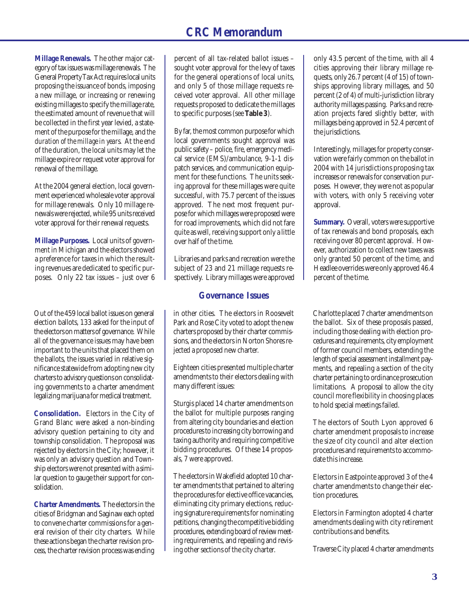**Millage Renewals.** The other major category of tax issues was millage renewals. The General Property Tax Act requires local units proposing the issuance of bonds, imposing a new millage, or increasing or renewing existing millages to specify the millage rate, the estimated amount of revenue that will be collected in the first year levied, a statement of the purpose for the millage, and *the duration of the millage in years*. At the end of the duration, the local units may let the millage expire or request voter approval for renewal of the millage.

At the 2004 general election, local government experienced wholesale voter approval for millage renewals. Only 10 millage renewals were rejected, while 95 units received voter approval for their renewal requests.

**Millage Purposes.** Local units of government in Michigan and the electors showed a preference for taxes in which the resulting revenues are dedicated to specific purposes. Only 22 tax issues – just over 6

Out of the 459 local ballot issues on general election ballots, 133 asked for the input of the electors on matters of governance. While all of the governance issues may have been important to the units that placed them on the ballots, the issues varied in relative significance statewide from adopting new city charters to advisory questions on consolidating governments to a charter amendment legalizing marijuana for medical treatment.

**Consolidation.** Electors in the City of Grand Blanc were asked a non-binding advisory question pertaining to city and township consolidation. The proposal was rejected by electors in the City; however, it was only an advisory question and Township electors were not presented with a similar question to gauge their support for consolidation.

**Charter Amendments.** The electors in the cities of Bridgman and Saginaw each opted to convene charter commissions for a general revision of their city charters. While these actions began the charter revision process, the charter revision process was ending

percent of all tax-related ballot issues – sought voter approval for the levy of taxes for the general operations of local units, and only 5 of those millage requests received voter approval. All other millage requests proposed to dedicate the millages to specific purposes (see **Table 3**).

By far, the most common purpose for which local governments sought approval was public safety – police, fire, emergency medical service (EMS)/ambulance, 9-1-1 dispatch services, and communication equipment for these functions. The units seeking approval for these millages were quite successful, with 75.7 percent of the issues approved. The next most frequent purpose for which millages were proposed were for road improvements, which did not fare quite as well, receiving support only a little over half of the time.

Libraries and parks and recreation were the subject of 23 and 21 millage requests respectively. Library millages were approved

### **Governance Issues**

in other cities. The electors in Roosevelt Park and Rose City voted to adopt the new charters proposed by their charter commissions, and the electors in Norton Shores rejected a proposed new charter.

Eighteen cities presented multiple charter amendments to their electors dealing with many different issues:

Sturgis placed 14 charter amendments on the ballot for multiple purposes ranging from altering city boundaries and election procedures to increasing city borrowing and taxing authority and requiring competitive bidding procedures. Of these 14 proposals, 7 were approved.

The electors in Wakefield adopted 10 charter amendments that pertained to altering the procedures for elective office vacancies, eliminating city primary elections, reducing signature requirements for nominating petitions, changing the competitive bidding procedures, extending board of review meeting requirements, and repealing and revising other sections of the city charter.

only 43.5 percent of the time, with all 4 cities approving their library millage requests, only 26.7 percent (4 of 15) of townships approving library millages, and 50 percent (2 of 4) of multi-jurisdiction library authority millages passing. Parks and recreation projects fared slightly better, with millages being approved in 52.4 percent of the jurisdictions.

Interestingly, millages for property conservation were fairly common on the ballot in 2004 with 14 jurisdictions proposing tax increases or renewals for conservation purposes. However, they were not as popular with voters, with only 5 receiving voter approval.

**Summary.** Overall, voters were supportive of tax renewals and bond proposals, each receiving over 80 percent approval. However, authorization to collect new taxes was only granted 50 percent of the time, and Headlee overrides were only approved 46.4 percent of the time.

Charlotte placed 7 charter amendments on the ballot. Six of these proposals passed, including those dealing with election procedures and requirements, city employment of former council members, extending the length of special assessment installment payments, and repealing a section of the city charter pertaining to ordinance prosecution limitations. A proposal to allow the city council more flexibility in choosing places to hold special meetings failed.

The electors of South Lyon approved 6 charter amendment proposals to increase the size of city council and alter election procedures and requirements to accommodate this increase.

Electors in Eastpointe approved 3 of the 4 charter amendments to change their election procedures.

Electors in Farmington adopted 4 charter amendments dealing with city retirement contributions and benefits.

Traverse City placed 4 charter amendments